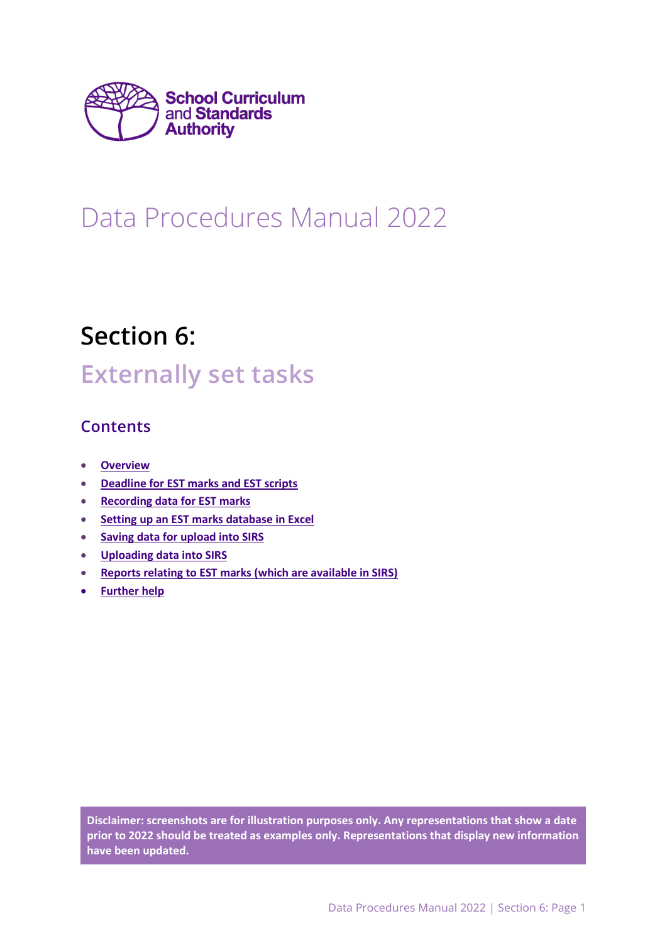

# Data Procedures Manual 2022

# Section 6:

# **Externally set tasks**

# **Contents**

- **[Overview](#page-0-0)**
- **[Deadline for EST marks and EST scripts](#page-1-0)**
- **[Recording data for EST marks](#page-1-1)**
- **Setting up an EST [marks database in Excel](#page-1-2)**
- **[Saving data for](#page-2-0) upload into SIRS**
- **[Uploading data into SIRS](#page-3-0)**
- **[Reports relating to EST marks \(which are available in SIRS\)](#page-5-0)**
- **[Further help](#page-6-0)**

<span id="page-0-0"></span>**Disclaimer: screenshots are for illustration purposes only. Any representations that show a date prior to 2022 should be treated as examples only. Representations that display new information have been updated.**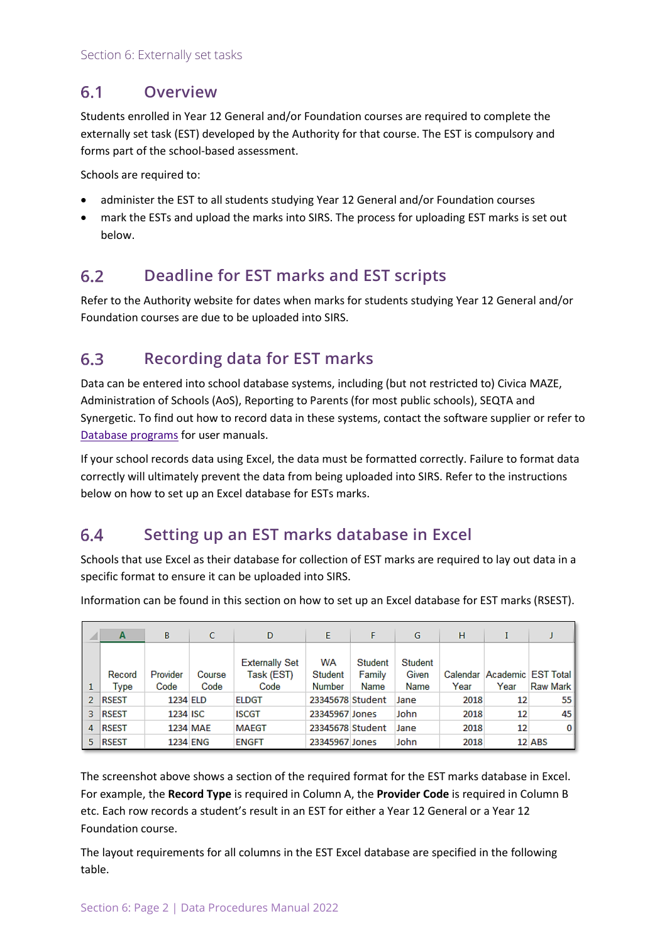#### $6.1$ **Overview**

Students enrolled in Year 12 General and/or Foundation courses are required to complete the externally set task (EST) developed by the Authority for that course. The EST is compulsory and forms part of the school-based assessment.

Schools are required to:

- administer the EST to all students studying Year 12 General and/or Foundation courses
- mark the ESTs and upload the marks into SIRS. The process for uploading EST marks is set out below.

#### <span id="page-1-0"></span> $6.2$ **Deadline for EST marks and EST scripts**

Refer to the Authority website for dates when marks for students studying Year 12 General and/or Foundation courses are due to be uploaded into SIRS.

#### <span id="page-1-1"></span> $6.3$ **Recording data for EST marks**

Data can be entered into school database systems, including (but not restricted to) Civica MAZE, Administration of Schools (AoS), Reporting to Parents (for most public schools), SEQTA and Synergetic. To find out how to record data in these systems, contact the software supplier or refer to Database programs for user manuals.

If your school records data using Excel, the data must be formatted correctly. Failure to format data correctly will ultimately prevent the data from being uploaded into SIRS. Refer to the instructions below on how to set up an Excel database for ESTs marks.

#### <span id="page-1-2"></span>64 **Setting up an EST marks database in Excel**

Schools that use Excel as their database for collection of EST marks are required to lay out data in a specific format to ensure it can be uploaded into SIRS.

Information can be found in this section on how to set up an Excel database for EST marks (RSEST).

| ⊿ | A              | B                | c              | D                                           | Е                       | F                         | G                        | н                |      |                                  |
|---|----------------|------------------|----------------|---------------------------------------------|-------------------------|---------------------------|--------------------------|------------------|------|----------------------------------|
|   | Record<br>Type | Provider<br>Code | Course<br>Code | <b>Externally Set</b><br>Task (EST)<br>Code | WA<br>Student<br>Number | Student<br>Family<br>Name | Student<br>Given<br>Name | Calendar<br>Year | Year | Academic EST Total<br>Raw Mark I |
|   |                |                  |                |                                             |                         |                           |                          |                  |      |                                  |
|   | <b>RSEST</b>   | 1234 ELD         |                | <b>ELDGT</b>                                | 23345678 Student        |                           | Jane                     | 2018             | 12   | 55                               |
| з | <b>RSEST</b>   | 1234 ISC         |                | <b>ISCGT</b>                                | 23345967 Jones          |                           | John                     | 2018             | 12   | 45                               |
| 4 | <b>RSEST</b>   |                  | 1234 MAE       | <b>MAEGT</b>                                | 23345678 Student        |                           | Jane                     | 2018             | 12   | οI                               |
| 5 | <b>RSEST</b>   |                  | 1234 ENG       | <b>ENGFT</b>                                | 23345967 Jones          |                           | John                     | 2018             |      | 12 ABS                           |

The screenshot above shows a section of the required format for the EST marks database in Excel. For example, the **Record Type** is required in Column A, the **Provider Code** is required in Column B etc. Each row records a student's result in an EST for either a Year 12 General or a Year 12 Foundation course.

The layout requirements for all columns in the EST Excel database are specified in the following table.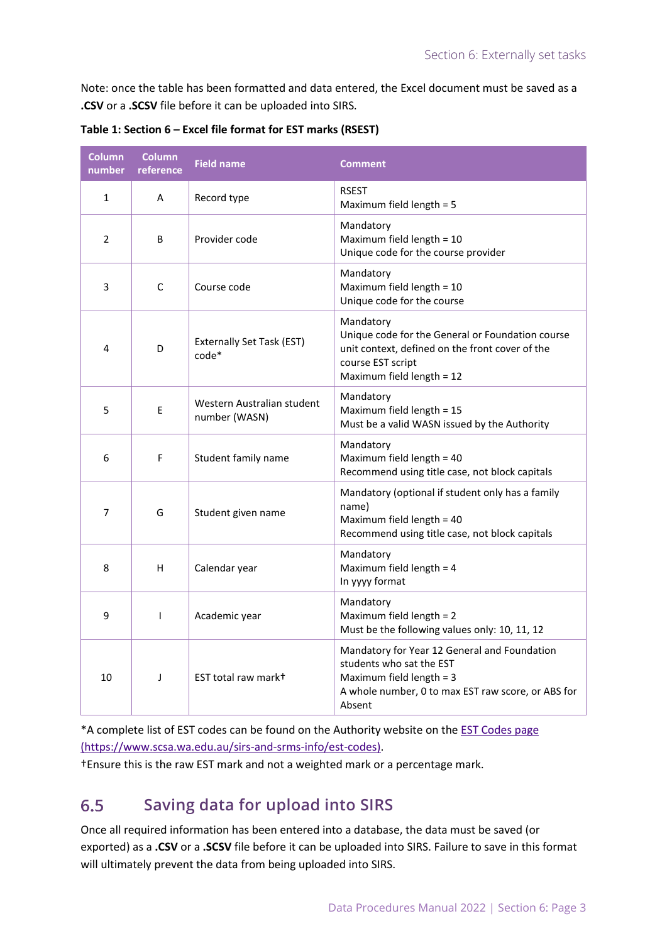Note: once the table has been formatted and data entered, the Excel document must be saved as a **.CSV** or a **.SCSV** file before it can be uploaded into SIRS.

| <b>Column</b><br>number | <b>Column</b><br>reference | <b>Field name</b>                           | <b>Comment</b>                                                                                                                                                       |
|-------------------------|----------------------------|---------------------------------------------|----------------------------------------------------------------------------------------------------------------------------------------------------------------------|
| $\mathbf{1}$            | A                          | Record type                                 | <b>RSEST</b><br>Maximum field length = 5                                                                                                                             |
| $\overline{2}$          | B                          | Provider code                               | Mandatory<br>Maximum field length = 10<br>Unique code for the course provider                                                                                        |
| 3                       | C                          | Course code                                 | Mandatory<br>Maximum field length = 10<br>Unique code for the course                                                                                                 |
| 4                       | D                          | Externally Set Task (EST)<br>$code*$        | Mandatory<br>Unique code for the General or Foundation course<br>unit context, defined on the front cover of the<br>course EST script<br>Maximum field length = 12   |
| 5                       | E                          | Western Australian student<br>number (WASN) | Mandatory<br>Maximum field length = 15<br>Must be a valid WASN issued by the Authority                                                                               |
| 6                       | F                          | Student family name                         | Mandatory<br>Maximum field length = 40<br>Recommend using title case, not block capitals                                                                             |
| 7                       | G                          | Student given name                          | Mandatory (optional if student only has a family<br>name)<br>Maximum field length = 40<br>Recommend using title case, not block capitals                             |
| 8                       | н                          | Calendar year                               | Mandatory<br>Maximum field length = 4<br>In yyyy format                                                                                                              |
| 9                       | T                          | Academic year                               | Mandatory<br>Maximum field length $= 2$<br>Must be the following values only: 10, 11, 12                                                                             |
| 10                      | J                          | EST total raw mark+                         | Mandatory for Year 12 General and Foundation<br>students who sat the EST<br>Maximum field length = 3<br>A whole number, 0 to max EST raw score, or ABS for<br>Absent |

**Table 1: Section 6 – Excel file format for EST marks (RSEST)**

\*A complete list of EST codes can be found on the Authority website on the [EST Codes page](https://www.scsa.wa.edu.au/sirs-and-srms-info/est-codes) [\(https://www.scsa.wa.edu.au/sirs-and-srms-info/est-codes\).](https://www.scsa.wa.edu.au/sirs-and-srms-info/est-codes)

<span id="page-2-0"></span>†Ensure this is the raw EST mark and not a weighted mark or a percentage mark.

#### $6.5$ **Saving data for upload into SIRS**

Once all required information has been entered into a database, the data must be saved (or exported) as a **.CSV** or a **.SCSV** file before it can be uploaded into SIRS. Failure to save in this format will ultimately prevent the data from being uploaded into SIRS.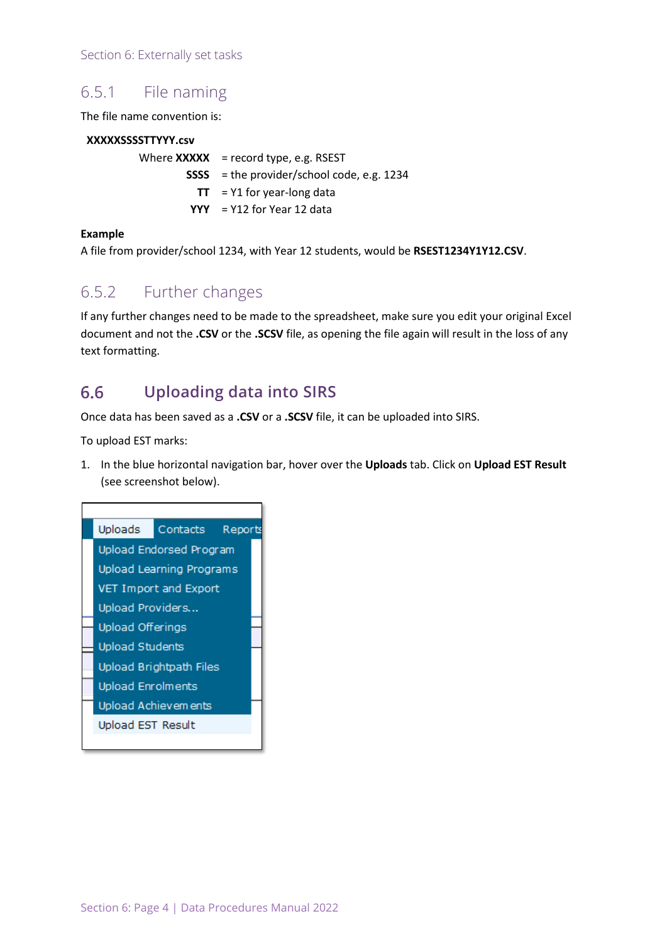Section 6: Externally set tasks

## 6.5.1 File naming

The file name convention is:

## **XXXXXSSSSTTYYY.csv**

Where **XXXXX** = record type, e.g. RSEST **SSSS** = the provider/school code, e.g. 1234  $TT = Y1$  for year-long data **YYY** = Y12 for Year 12 data

### **Example**

A file from provider/school 1234, with Year 12 students, would be **RSEST1234Y1Y12.CSV**.

## 6.5.2 Further changes

If any further changes need to be made to the spreadsheet, make sure you edit your original Excel document and not the **.CSV** or the **.SCSV** file, as opening the file again will result in the loss of any text formatting.

#### <span id="page-3-0"></span> $6.6$ **Uploading data into SIRS**

Once data has been saved as a **.CSV** or a **.SCSV** file, it can be uploaded into SIRS.

To upload EST marks:

1. In the blue horizontal navigation bar, hover over the **Uploads** tab. Click on **Upload EST Result** (see screenshot below).

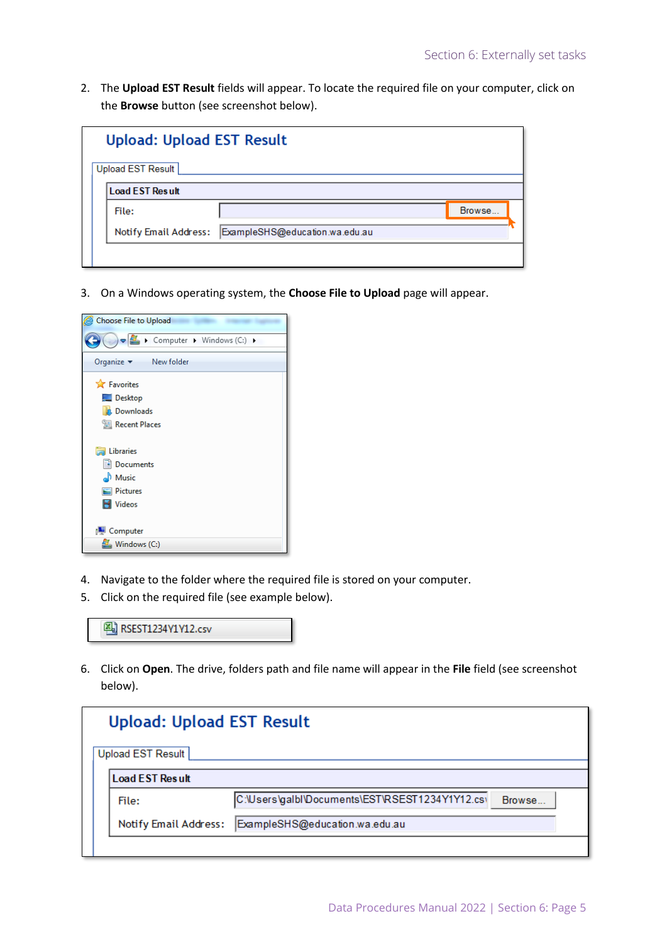2. The **Upload EST Result** fields will appear. To locate the required file on your computer, click on the **Browse** button (see screenshot below).

| <b>Upload: Upload EST Result</b> |                                |        |  |  |  |
|----------------------------------|--------------------------------|--------|--|--|--|
| Upload EST Result                |                                |        |  |  |  |
| <b>Load EST Result</b>           |                                |        |  |  |  |
| File:                            |                                | Browse |  |  |  |
| <b>Notify Email Address:</b>     | ExampleSHS@education.wa.edu.au |        |  |  |  |
|                                  |                                |        |  |  |  |

3. On a Windows operating system, the **Choose File to Upload** page will appear.



- 4. Navigate to the folder where the required file is stored on your computer.
- 5. Click on the required file (see example below).



6. Click on **Open**. The drive, folders path and file name will appear in the **File** field (see screenshot below).

| <b>Upload: Upload EST Result</b> |                                                 |        |  |  |  |  |
|----------------------------------|-------------------------------------------------|--------|--|--|--|--|
| Upload EST Result                |                                                 |        |  |  |  |  |
| <b>Load EST Result</b>           |                                                 |        |  |  |  |  |
| File:                            | C:\Users\galbl\Documents\EST\RSEST1234Y1Y12.cs\ | Browse |  |  |  |  |
| <b>Notify Email Address:</b>     | ExampleSHS@education.wa.edu.au                  |        |  |  |  |  |
|                                  |                                                 |        |  |  |  |  |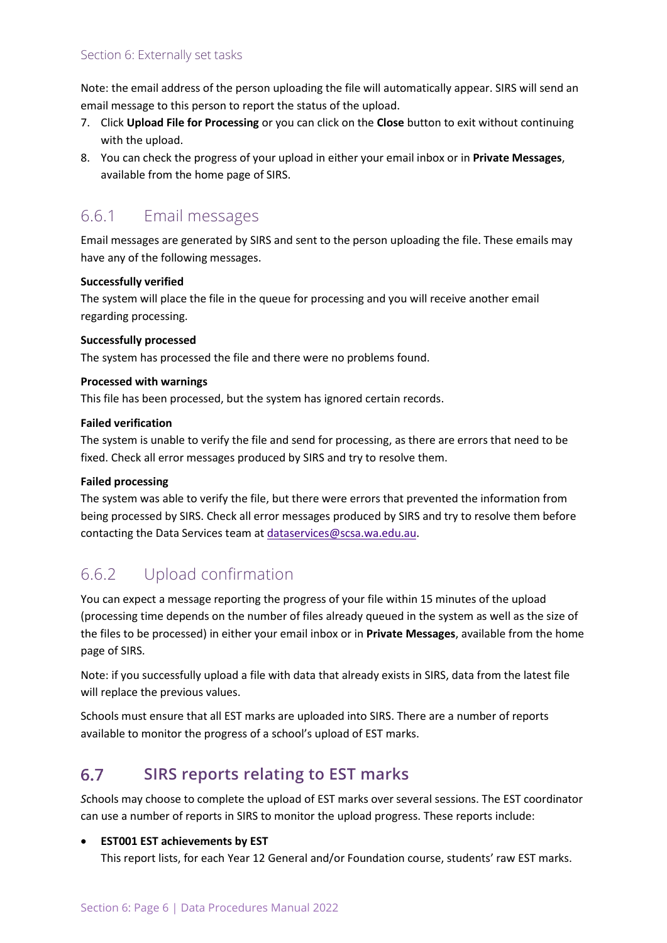Note: the email address of the person uploading the file will automatically appear. SIRS will send an email message to this person to report the status of the upload.

- 7. Click **Upload File for Processing** or you can click on the **Close** button to exit without continuing with the upload.
- 8. You can check the progress of your upload in either your email inbox or in **Private Messages**, available from the home page of SIRS.

# 6.6.1 Email messages

Email messages are generated by SIRS and sent to the person uploading the file. These emails may have any of the following messages.

## **Successfully verified**

The system will place the file in the queue for processing and you will receive another email regarding processing.

### **Successfully processed**

The system has processed the file and there were no problems found.

### **Processed with warnings**

This file has been processed, but the system has ignored certain records.

### **Failed verification**

The system is unable to verify the file and send for processing, as there are errors that need to be fixed. Check all error messages produced by SIRS and try to resolve them.

## **Failed processing**

The system was able to verify the file, but there were errors that prevented the information from being processed by SIRS. Check all error messages produced by SIRS and try to resolve them before contacting the Data Services team at [dataservices@scsa.wa.edu.au.](mailto:dataservices@scsa.wa.edu.au)

## 6.6.2 Upload confirmation

You can expect a message reporting the progress of your file within 15 minutes of the upload (processing time depends on the number of files already queued in the system as well as the size of the files to be processed) in either your email inbox or in **Private Messages**, available from the home page of SIRS.

Note: if you successfully upload a file with data that already exists in SIRS, data from the latest file will replace the previous values.

Schools must ensure that all EST marks are uploaded into SIRS. There are a number of reports available to monitor the progress of a school's upload of EST marks.

#### <span id="page-5-0"></span>6.7 **SIRS reports relating to EST marks**

*S*chools may choose to complete the upload of EST marks over several sessions. The EST coordinator can use a number of reports in SIRS to monitor the upload progress. These reports include:

## **EST001 EST achievements by EST**

This report lists, for each Year 12 General and/or Foundation course, students' raw EST marks.